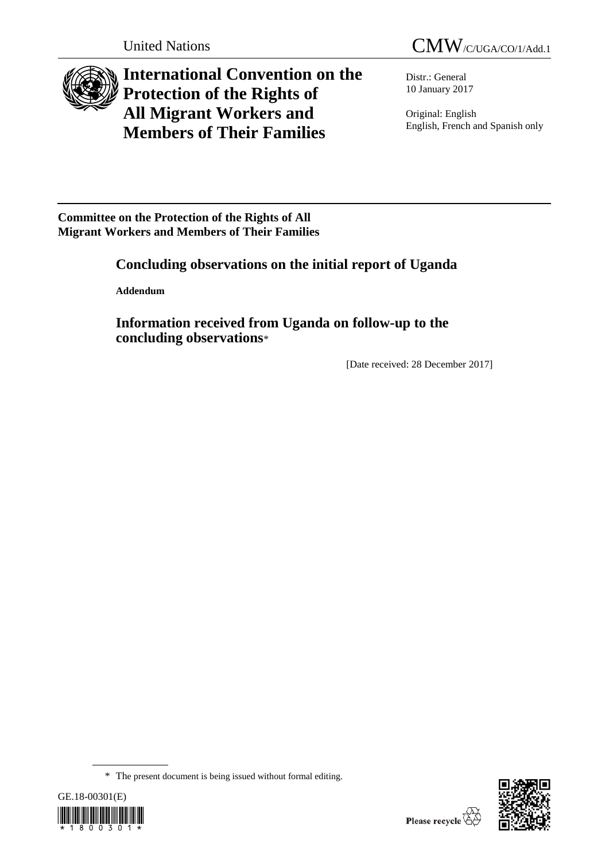

**International Convention on the Protection of the Rights of All Migrant Workers and Members of Their Families**

Distr.: General 10 January 2017

Original: English English, French and Spanish only

**Committee on the Protection of the Rights of All Migrant Workers and Members of Their Families** 

# **Concluding observations on the initial report of Uganda**

**Addendum**

**Information received from Uganda on follow-up to the concluding observations**\*

[Date received: 28 December 2017]

<sup>\*</sup> The present document is being issued without formal editing.